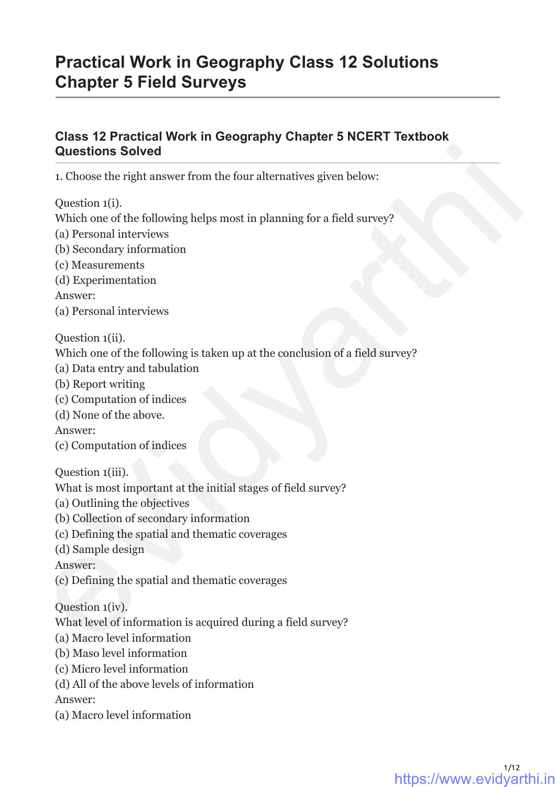# **Practical Work in Geography Class 12 Solutions Chapter 5 Field Surveys**

# **Class 12 Practical Work in Geography Chapter 5 NCERT Textbook Questions Solved Questions Solved**<br>
1. Choose the right answer from the four alternatives given below:<br>
Question 1(i),<br>
Question different performance in planning for a field survey?<br>
(i) Personal interviews<br>
(i) Oscondary information<br>
(

1. Choose the right answer from the four alternatives given below:

Question 1(i).

Which one of the following helps most in planning for a field survey?

- (a) Personal interviews
- (b) Secondary information
- (c) Measurements
- (d) Experimentation

Answer:

(a) Personal interviews

Question 1(ii).

Which one of the following is taken up at the conclusion of a field survey?

- (a) Data entry and tabulation
- (b) Report writing
- (c) Computation of indices
- (d) None of the above.

Answer:

(c) Computation of indices

Question 1(iii).

- What is most important at the initial stages of field survey?
- (a) Outlining the objectives
- (b) Collection of secondary information
- (c) Defining the spatial and thematic coverages

(d) Sample design

Answer:

(c) Defining the spatial and thematic coverages

Question 1(iv).

What level of information is acquired during a field survey?

- (a) Macro level information
- (b) Maso level information
- (c) Micro level information
- (d) All of the above levels of information

Answer:

(a) Macro level information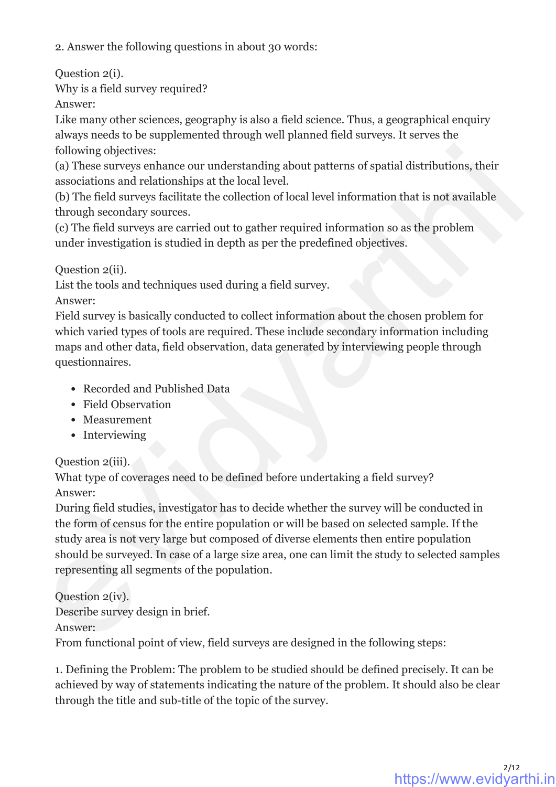2. Answer the following questions in about 30 words:

Question 2(i).

Why is a field survey required?

Answer:

Like many other sciences, geography is also a field science. Thus, a geographical enquiry always needs to be supplemented through well planned field surveys. It serves the following objectives:

(a) These surveys enhance our understanding about patterns of spatial distributions, their associations and relationships at the local level.

(b) The field surveys facilitate the collection of local level information that is not available through secondary sources.

(c) The field surveys are carried out to gather required information so as the problem under investigation is studied in depth as per the predefined objectives.

Question 2(ii).

List the tools and techniques used during a field survey.

Answer:

Field survey is basically conducted to collect information about the chosen problem for which varied types of tools are required. These include secondary information including maps and other data, field observation, data generated by interviewing people through questionnaires.

- Recorded and Published Data
- Field Observation
- Measurement
- Interviewing

Question 2(iii).

What type of coverages need to be defined before undertaking a field survey? Answer:

During field studies, investigator has to decide whether the survey will be conducted in the form of census for the entire population or will be based on selected sample. If the study area is not very large but composed of diverse elements then entire population should be surveyed. In case of a large size area, one can limit the study to selected samples representing all segments of the population. following objectives:<br>
(a) These surveys enhance our understanding about patterns of spatial distributions, their<br>
consociations and relationships at the local level.<br>
(c) The field surveys findities the collection of loc

Question 2(iv). Describe survey design in brief.

Answer:

From functional point of view, field surveys are designed in the following steps:

1. Defining the Problem: The problem to be studied should be defined precisely. It can be achieved by way of statements indicating the nature of the problem. It should also be clear through the title and sub-title of the topic of the survey.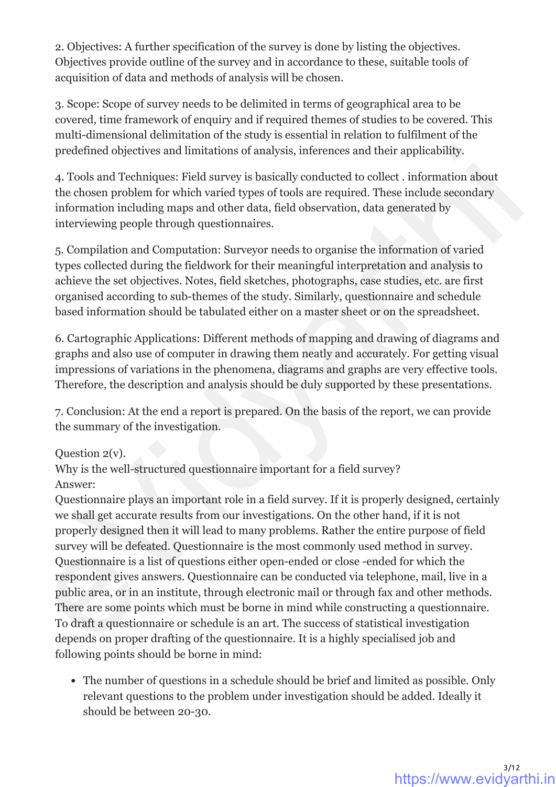2. Objectives: A further specification of the survey is done by listing the objectives. Objectives provide outline of the survey and in accordance to these, suitable tools of acquisition of data and methods of analysis will be chosen.

3. Scope: Scope of survey needs to be delimited in terms of geographical area to be covered, time framework of enquiry and if required themes of studies to be covered. This multi-dimensional delimitation of the study is essential in relation to fulfilment of the predefined objectives and limitations of analysis, inferences and their applicability.

4. Tools and Techniques: Field survey is basically conducted to collect . information about the chosen problem for which varied types of tools are required. These include secondary information including maps and other data, field observation, data generated by interviewing people through questionnaires.

5. Compilation and Computation: Surveyor needs to organise the information of varied types collected during the fieldwork for their meaningful interpretation and analysis to achieve the set objectives. Notes, field sketches, photographs, case studies, etc. are first organised according to sub-themes of the study. Similarly, questionnaire and schedule based information should be tabulated either on a master sheet or on the spreadsheet.

6. Cartographic Applications: Different methods of mapping and drawing of diagrams and graphs and also use of computer in drawing them neatly and accurately. For getting visual impressions of variations in the phenomena, diagrams and graphs are very effective tools. Therefore, the description and analysis should be duly supported by these presentations.

7. Conclusion: At the end a report is prepared. On the basis of the report, we can provide the summary of the investigation.

### Question 2(v).

Why is the well-structured questionnaire important for a field survey? Answer:

Questionnaire plays an important role in a field survey. If it is properly designed, certainly we shall get accurate results from our investigations. On the other hand, if it is not properly designed then it will lead to many problems. Rather the entire purpose of field survey will be defeated. Questionnaire is the most commonly used method in survey. Questionnaire is a list of questions either open-ended or close -ended for which the respondent gives answers. Questionnaire can be conducted via telephone, mail, live in a public area, or in an institute, through electronic mail or through fax and other methods. There are some points which must be borne in mind while constructing a questionnaire. To draft a questionnaire or schedule is an art. The success of statistical investigation depends on proper drafting of the questionnaire. It is a highly specialised job and following points should be borne in mind: predefined objectives and limitations of analysis, inferences and their applicability.<br>
4. Tools and Techniques: Filed survey is basically conducted to collect - information about<br>
the chosen problem for which varied types

The number of questions in a schedule should be brief and limited as possible. Only relevant questions to the problem under investigation should be added. Ideally it should be between 20-30.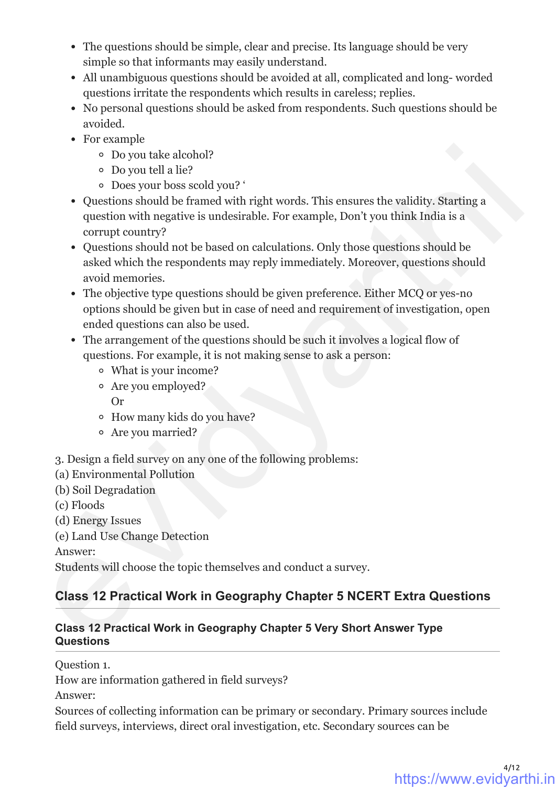- The questions should be simple, clear and precise. Its language should be very simple so that informants may easily understand.
- All unambiguous questions should be avoided at all, complicated and long- worded questions irritate the respondents which results in careless; replies.
- No personal questions should be asked from respondents. Such questions should be avoided.
- For example
	- Do you take alcohol?
	- Do you tell a lie?
	- Does your boss scold you? '
- Questions should be framed with right words. This ensures the validity. Starting a question with negative is undesirable. For example, Don't you think India is a corrupt country?
- Questions should not be based on calculations. Only those questions should be asked which the respondents may reply immediately. Moreover, questions should avoid memories.
- The objective type questions should be given preference. Either MCQ or yes-no options should be given but in case of need and requirement of investigation, open ended questions can also be used. e Do you take alcohol?<br>
c Do you take alcohol?<br>
c Do you tell ale?<br>
c Does your boss scold you?<br>
c ouestions should be framed with right words. This ensures the validity, Starting a<br>
question with negative is undesirable.
	- The arrangement of the questions should be such it involves a logical flow of questions. For example, it is not making sense to ask a person:
		- What is your income?
		- Are you employed?
			- Or
		- How many kids do you have?
		- Are you married?

3. Design a field survey on any one of the following problems:

- (a) Environmental Pollution
- (b) Soil Degradation
- (c) Floods

(d) Energy Issues

(e) Land Use Change Detection

Answer:

Students will choose the topic themselves and conduct a survey.

# **Class 12 Practical Work in Geography Chapter 5 NCERT Extra Questions**

#### **Class 12 Practical Work in Geography Chapter 5 Very Short Answer Type Questions**

Question 1.

How are information gathered in field surveys?

Answer:

Sources of collecting information can be primary or secondary. Primary sources include field surveys, interviews, direct oral investigation, etc. Secondary sources can be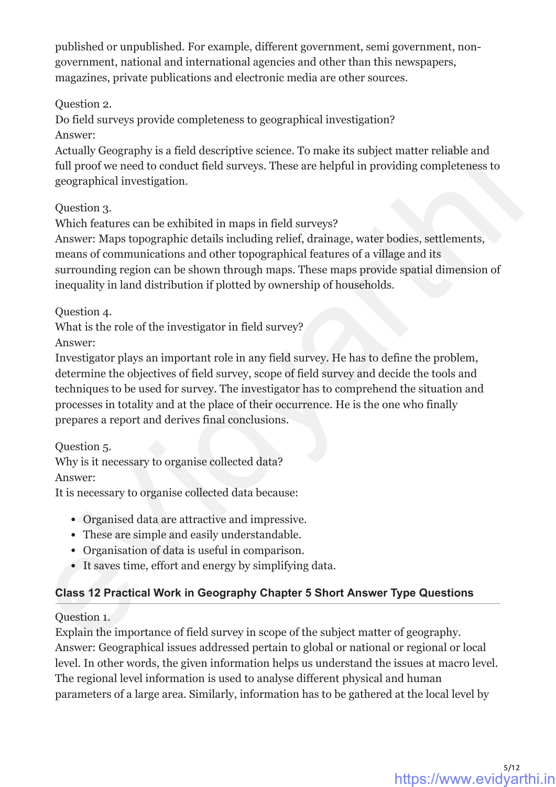published or unpublished. For example, different government, semi government, nongovernment, national and international agencies and other than this newspapers, magazines, private publications and electronic media are other sources.

Question 2.

Do field surveys provide completeness to geographical investigation? Answer:

Actually Geography is a field descriptive science. To make its subject matter reliable and full proof we need to conduct field surveys. These are helpful in providing completeness to geographical investigation.

Question 3.

Which features can be exhibited in maps in field surveys?

Answer: Maps topographic details including relief, drainage, water bodies, settlements, means of communications and other topographical features of a village and its surrounding region can be shown through maps. These maps provide spatial dimension of inequality in land distribution if plotted by ownership of households.

Question 4.

What is the role of the investigator in field survey?

Answer:

Investigator plays an important role in any field survey. He has to define the problem, determine the objectives of field survey, scope of field survey and decide the tools and techniques to be used for survey. The investigator has to comprehend the situation and processes in totality and at the place of their occurrence. He is the one who finally prepares a report and derives final conclusions. Actually Geography is a field descriptive science. To make its subject matter reliable and<br>not provide meet to conduct field surveys, These are helpful in providing completeness to<br>geographical investigation.<br>Question 3.<br>

Question 5.

Why is it necessary to organise collected data?

Answer:

It is necessary to organise collected data because:

- Organised data are attractive and impressive.
- These are simple and easily understandable.
- Organisation of data is useful in comparison.
- It saves time, effort and energy by simplifying data.

# **Class 12 Practical Work in Geography Chapter 5 Short Answer Type Questions**

Question 1.

Explain the importance of field survey in scope of the subject matter of geography. Answer: Geographical issues addressed pertain to global or national or regional or local level. In other words, the given information helps us understand the issues at macro level. The regional level information is used to analyse different physical and human parameters of a large area. Similarly, information has to be gathered at the local level by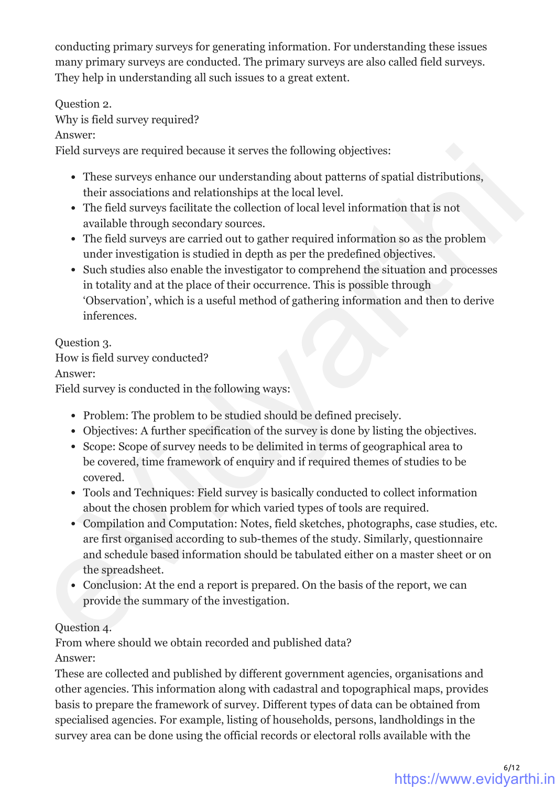conducting primary surveys for generating information. For understanding these issues many primary surveys are conducted. The primary surveys are also called field surveys. They help in understanding all such issues to a great extent.

Question 2.

Why is field survey required?

Answer:

Field surveys are required because it serves the following objectives:

- These surveys enhance our understanding about patterns of spatial distributions, their associations and relationships at the local level.
- The field surveys facilitate the collection of local level information that is not available through secondary sources.
- The field surveys are carried out to gather required information so as the problem under investigation is studied in depth as per the predefined objectives.
- Such studies also enable the investigator to comprehend the situation and processes in totality and at the place of their occurrence. This is possible through 'Observation', which is a useful method of gathering information and then to derive inferences.

### Question 3.

How is field survey conducted?

Answer:

Field survey is conducted in the following ways:

- Problem: The problem to be studied should be defined precisely.
- Objectives: A further specification of the survey is done by listing the objectives.
- Scope: Scope of survey needs to be delimited in terms of geographical area to be covered, time framework of enquiry and if required themes of studies to be covered.
- Tools and Techniques: Field survey is basically conducted to collect information about the chosen problem for which varied types of tools are required.
- Compilation and Computation: Notes, field sketches, photographs, case studies, etc. are first organised according to sub-themes of the study. Similarly, questionnaire and schedule based information should be tabulated either on a master sheet or on the spreadsheet. Field surveys are required because it serves the following objectives:<br>
• These surveys enhance our understanding about patterns of spatial distributions,<br>
their associations and relationships at the local level.<br>
• The f
	- Conclusion: At the end a report is prepared. On the basis of the report, we can provide the summary of the investigation.

### Question 4.

From where should we obtain recorded and published data?

Answer:

These are collected and published by different government agencies, organisations and other agencies. This information along with cadastral and topographical maps, provides basis to prepare the framework of survey. Different types of data can be obtained from specialised agencies. For example, listing of households, persons, landholdings in the survey area can be done using the official records or electoral rolls available with the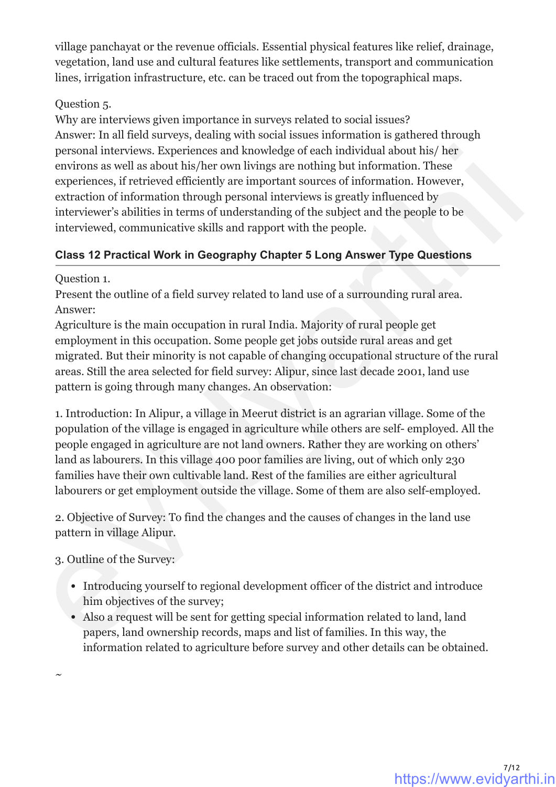village panchayat or the revenue officials. Essential physical features like relief, drainage, vegetation, land use and cultural features like settlements, transport and communication lines, irrigation infrastructure, etc. can be traced out from the topographical maps.

#### Question 5.

Why are interviews given importance in surveys related to social issues? Answer: In all field surveys, dealing with social issues information is gathered through personal interviews. Experiences and knowledge of each individual about his/ her environs as well as about his/her own livings are nothing but information. These experiences, if retrieved efficiently are important sources of information. However, extraction of information through personal interviews is greatly influenced by interviewer's abilities in terms of understanding of the subject and the people to be interviewed, communicative skills and rapport with the people.

### **Class 12 Practical Work in Geography Chapter 5 Long Answer Type Questions**

Question 1.

Present the outline of a field survey related to land use of a surrounding rural area. Answer:

Agriculture is the main occupation in rural India. Majority of rural people get employment in this occupation. Some people get jobs outside rural areas and get migrated. But their minority is not capable of changing occupational structure of the rural areas. Still the area selected for field survey: Alipur, since last decade 2001, land use pattern is going through many changes. An observation:

1. Introduction: In Alipur, a village in Meerut district is an agrarian village. Some of the population of the village is engaged in agriculture while others are self- employed. All the people engaged in agriculture are not land owners. Rather they are working on others' land as labourers. In this village 400 poor families are living, out of which only 230 families have their own cultivable land. Rest of the families are either agricultural labourers or get employment outside the village. Some of them are also self-employed. personal interviews. Experiences and knowledge of each individual about this /here the conservers as well as about his/sper over livings are nothing but information. These experiences, if retrieved efficiently are innorma

2. Objective of Survey: To find the changes and the causes of changes in the land use pattern in village Alipur.

3. Outline of the Survey:

- Introducing yourself to regional development officer of the district and introduce him objectives of the survey;
- Also a request will be sent for getting special information related to land, land papers, land ownership records, maps and list of families. In this way, the information related to agriculture before survey and other details can be obtained.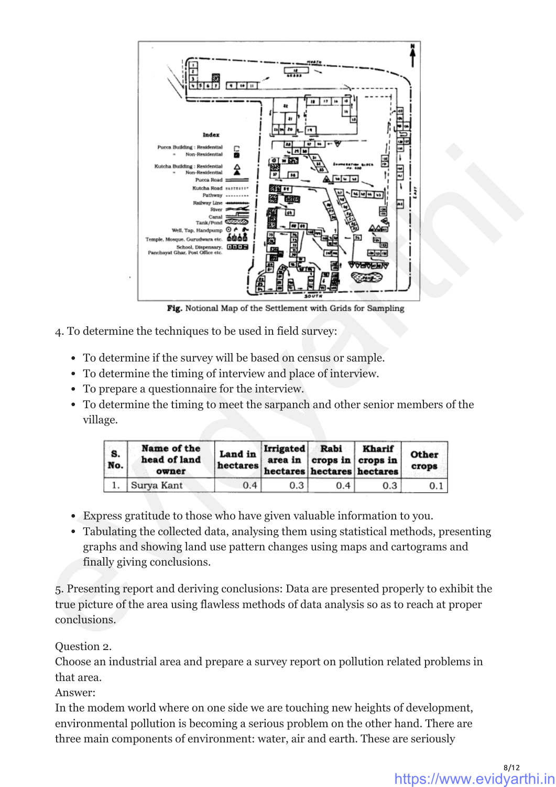

- 4. To determine the techniques to be used in field survey:
	- To determine if the survey will be based on census or sample.
	- To determine the timing of interview and place of interview.
	- To prepare a questionnaire for the interview.
	- To determine the timing to meet the sarpanch and other senior members of the village.

| <b>S.</b><br>No. | Name of the<br>head of land<br>owner | Land in<br>hectares hectares hectares hectares | <b>Irrigated</b> | Rabi<br>area in $ $ crops in $ $ crops in | Kharif | Other<br>crops |
|------------------|--------------------------------------|------------------------------------------------|------------------|-------------------------------------------|--------|----------------|
|                  | Surya Kant                           | 0.4                                            | 0.3              | 0.4                                       | 0.3    | 0.1            |

- Express gratitude to those who have given valuable information to you.
- Tabulating the collected data, analysing them using statistical methods, presenting graphs and showing land use pattern changes using maps and cartograms and finally giving conclusions.

5. Presenting report and deriving conclusions: Data are presented properly to exhibit the true picture of the area using flawless methods of data analysis so as to reach at proper conclusions.

Question 2.

Choose an industrial area and prepare a survey report on pollution related problems in that area.

Answer:

In the modem world where on one side we are touching new heights of development, environmental pollution is becoming a serious problem on the other hand. There are three main components of environment: water, air and earth. These are seriously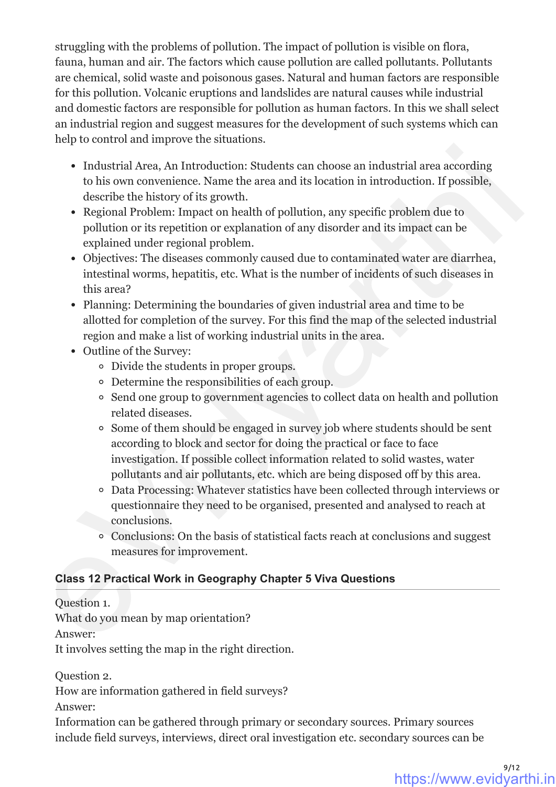struggling with the problems of pollution. The impact of pollution is visible on flora, fauna, human and air. The factors which cause pollution are called pollutants. Pollutants are chemical, solid waste and poisonous gases. Natural and human factors are responsible for this pollution. Volcanic eruptions and landslides are natural causes while industrial and domestic factors are responsible for pollution as human factors. In this we shall select an industrial region and suggest measures for the development of such systems which can help to control and improve the situations.

- Industrial Area, An Introduction: Students can choose an industrial area according to his own convenience. Name the area and its location in introduction. If possible, describe the history of its growth.
- Regional Problem: Impact on health of pollution, any specific problem due to pollution or its repetition or explanation of any disorder and its impact can be explained under regional problem.
- Objectives: The diseases commonly caused due to contaminated water are diarrhea, intestinal worms, hepatitis, etc. What is the number of incidents of such diseases in this area?
- Planning: Determining the boundaries of given industrial area and time to be allotted for completion of the survey. For this find the map of the selected industrial region and make a list of working industrial units in the area.
- Outline of the Survey:
	- Divide the students in proper groups.
	- Determine the responsibilities of each group.
	- Send one group to government agencies to collect data on health and pollution related diseases.
- Some of them should be engaged in survey job where students should be sent according to block and sector for doing the practical or face to face investigation. If possible collect information related to solid wastes, water pollutants and air pollutants, etc. which are being disposed off by this area. I Industrial Area, An Introduction: Students can choose an industrial area according<br>to his own convenience. Name the area and its location in introduction. If possible,<br>describe the listory of its growth. The possible, a
	- Data Processing: Whatever statistics have been collected through interviews or questionnaire they need to be organised, presented and analysed to reach at conclusions.
	- Conclusions: On the basis of statistical facts reach at conclusions and suggest measures for improvement.

# **Class 12 Practical Work in Geography Chapter 5 Viva Questions**

Question 1.

What do you mean by map orientation?

Answer:

It involves setting the map in the right direction.

Question 2.

How are information gathered in field surveys?

Answer:

Information can be gathered through primary or secondary sources. Primary sources include field surveys, interviews, direct oral investigation etc. secondary sources can be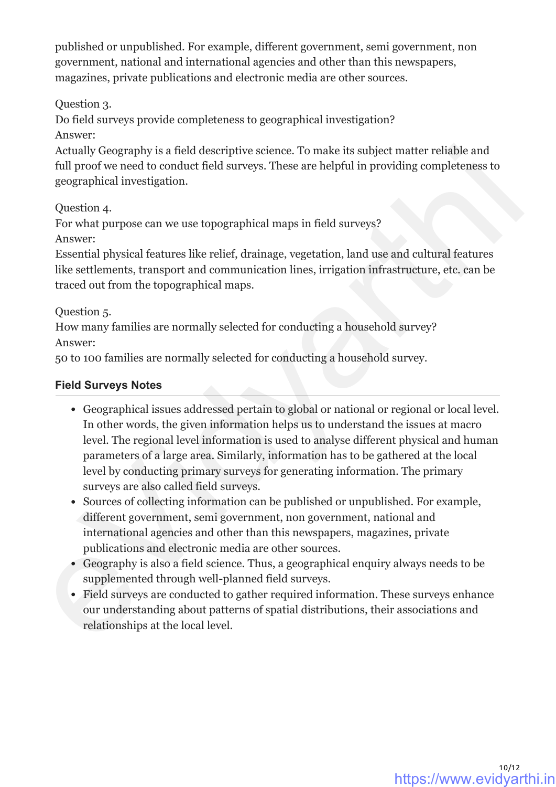published or unpublished. For example, different government, semi government, non government, national and international agencies and other than this newspapers, magazines, private publications and electronic media are other sources.

Question 3.

Do field surveys provide completeness to geographical investigation? Answer:

Actually Geography is a field descriptive science. To make its subject matter reliable and full proof we need to conduct field surveys. These are helpful in providing completeness to geographical investigation.

Question 4.

For what purpose can we use topographical maps in field surveys? Answer:

Essential physical features like relief, drainage, vegetation, land use and cultural features like settlements, transport and communication lines, irrigation infrastructure, etc. can be traced out from the topographical maps.

Question 5.

How many families are normally selected for conducting a household survey? Answer:

50 to 100 families are normally selected for conducting a household survey.

#### **Field Surveys Notes**

- Geographical issues addressed pertain to global or national or regional or local level. In other words, the given information helps us to understand the issues at macro level. The regional level information is used to analyse different physical and human parameters of a large area. Similarly, information has to be gathered at the local level by conducting primary surveys for generating information. The primary surveys are also called field surveys. Actually Geography is a field descriptive science. To make its subject matter reliable and<br>not providing osciential providing completeness to<br>geographical investigation.<br>Question 4,<br> $Q$ uestion 4,<br> $Q$ uestion 4,<br> $Q$ uestion
	- Sources of collecting information can be published or unpublished. For example, different government, semi government, non government, national and international agencies and other than this newspapers, magazines, private publications and electronic media are other sources.
	- Geography is also a field science. Thus, a geographical enquiry always needs to be supplemented through well-planned field surveys.
	- Field surveys are conducted to gather required information. These surveys enhance our understanding about patterns of spatial distributions, their associations and relationships at the local level.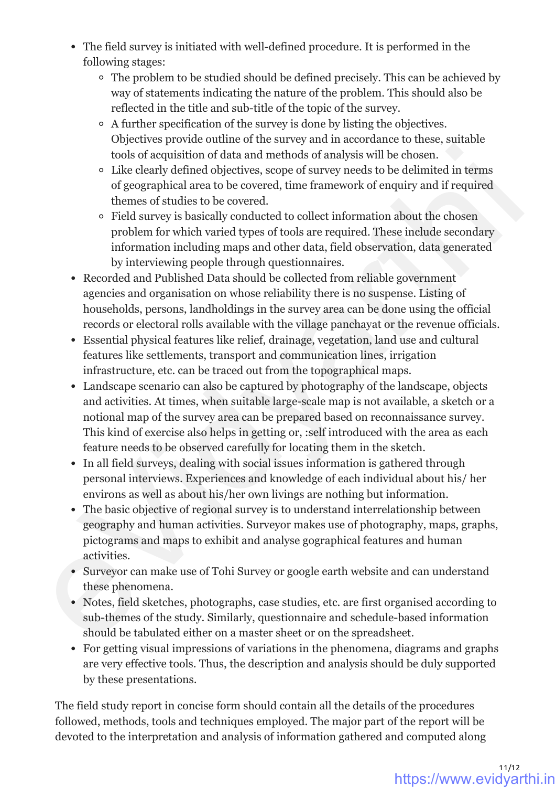- The field survey is initiated with well-defined procedure. It is performed in the following stages:
	- The problem to be studied should be defined precisely. This can be achieved by way of statements indicating the nature of the problem. This should also be reflected in the title and sub-title of the topic of the survey.
	- A further specification of the survey is done by listing the objectives. Objectives provide outline of the survey and in accordance to these, suitable tools of acquisition of data and methods of analysis will be chosen.
	- Like clearly defined objectives, scope of survey needs to be delimited in terms of geographical area to be covered, time framework of enquiry and if required themes of studies to be covered.
	- Field survey is basically conducted to collect information about the chosen problem for which varied types of tools are required. These include secondary information including maps and other data, field observation, data generated by interviewing people through questionnaires.
- Recorded and Published Data should be collected from reliable government agencies and organisation on whose reliability there is no suspense. Listing of households, persons, landholdings in the survey area can be done using the official records or electoral rolls available with the village panchayat or the revenue officials.
- Essential physical features like relief, drainage, vegetation, land use and cultural features like settlements, transport and communication lines, irrigation infrastructure, etc. can be traced out from the topographical maps.
- Landscape scenario can also be captured by photography of the landscape, objects and activities. At times, when suitable large-scale map is not available, a sketch or a notional map of the survey area can be prepared based on reconnaissance survey. This kind of exercise also helps in getting or, :self introduced with the area as each feature needs to be observed carefully for locating them in the sketch. tools of acquisition of data and methods of analysis will be chosen.<br>  $\epsilon$  Like dearly defined objectives, scope of survey needs to be dedimited in terms of geographical area to be overved, time framework of enquiry and i
	- In all field surveys, dealing with social issues information is gathered through personal interviews. Experiences and knowledge of each individual about his/ her environs as well as about his/her own livings are nothing but information.
	- The basic objective of regional survey is to understand interrelationship between geography and human activities. Surveyor makes use of photography, maps, graphs, pictograms and maps to exhibit and analyse gographical features and human activities.
	- Surveyor can make use of Tohi Survey or google earth website and can understand these phenomena.
	- Notes, field sketches, photographs, case studies, etc. are first organised according to sub-themes of the study. Similarly, questionnaire and schedule-based information should be tabulated either on a master sheet or on the spreadsheet.
	- For getting visual impressions of variations in the phenomena, diagrams and graphs are very effective tools. Thus, the description and analysis should be duly supported by these presentations.

The field study report in concise form should contain all the details of the procedures followed, methods, tools and techniques employed. The major part of the report will be devoted to the interpretation and analysis of information gathered and computed along